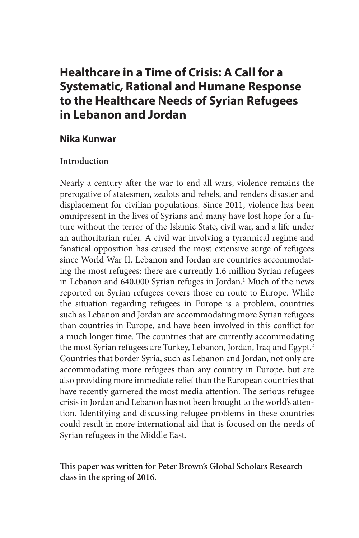# **Healthcare in a Time of Crisis: A Call for a Systematic, Rational and Humane Response to the Healthcare Needs of Syrian Refugees in Lebanon and Jordan**

## **Nika Kunwar**

## **Introduction**

Nearly a century after the war to end all wars, violence remains the prerogative of statesmen, zealots and rebels, and renders disaster and displacement for civilian populations. Since 2011, violence has been omnipresent in the lives of Syrians and many have lost hope for a future without the terror of the Islamic State, civil war, and a life under an authoritarian ruler. A civil war involving a tyrannical regime and fanatical opposition has caused the most extensive surge of refugees since World War II. Lebanon and Jordan are countries accommodating the most refugees; there are currently 1.6 million Syrian refugees in Lebanon and 640,000 Syrian refuges in Jordan.<sup>1</sup> Much of the news reported on Syrian refugees covers those en route to Europe. While the situation regarding refugees in Europe is a problem, countries such as Lebanon and Jordan are accommodating more Syrian refugees than countries in Europe, and have been involved in this conflict for a much longer time. The countries that are currently accommodating the most Syrian refugees are Turkey, Lebanon, Jordan, Iraq and Egypt.<sup>2</sup> Countries that border Syria, such as Lebanon and Jordan, not only are accommodating more refugees than any country in Europe, but are also providing more immediate relief than the European countries that have recently garnered the most media attention. The serious refugee crisis in Jordan and Lebanon has not been brought to the world's attention. Identifying and discussing refugee problems in these countries could result in more international aid that is focused on the needs of Syrian refugees in the Middle East.

**This paper was written for Peter Brown's Global Scholars Research class in the spring of 2016.**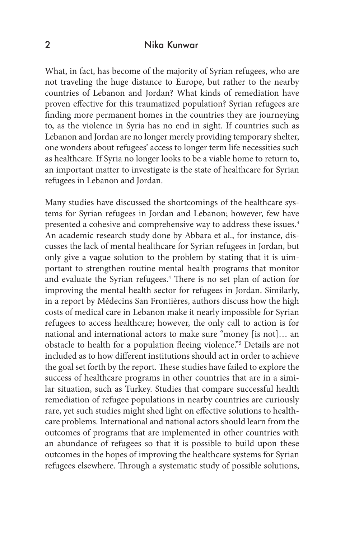What, in fact, has become of the majority of Syrian refugees, who are not traveling the huge distance to Europe, but rather to the nearby countries of Lebanon and Jordan? What kinds of remediation have proven effective for this traumatized population? Syrian refugees are finding more permanent homes in the countries they are journeying to, as the violence in Syria has no end in sight. If countries such as Lebanon and Jordan are no longer merely providing temporary shelter, one wonders about refugees' access to longer term life necessities such as healthcare. If Syria no longer looks to be a viable home to return to, an important matter to investigate is the state of healthcare for Syrian refugees in Lebanon and Jordan.

Many studies have discussed the shortcomings of the healthcare systems for Syrian refugees in Jordan and Lebanon; however, few have presented a cohesive and comprehensive way to address these issues.<sup>3</sup> An academic research study done by Abbara et al., for instance, discusses the lack of mental healthcare for Syrian refugees in Jordan, but only give a vague solution to the problem by stating that it is uimportant to strengthen routine mental health programs that monitor and evaluate the Syrian refugees.<sup>4</sup> There is no set plan of action for improving the mental health sector for refugees in Jordan. Similarly, in a report by Médecins San Frontières, authors discuss how the high costs of medical care in Lebanon make it nearly impossible for Syrian refugees to access healthcare; however, the only call to action is for national and international actors to make sure "money [is not]… an obstacle to health for a population fleeing violence."5 Details are not included as to how different institutions should act in order to achieve the goal set forth by the report. These studies have failed to explore the success of healthcare programs in other countries that are in a similar situation, such as Turkey. Studies that compare successful health remediation of refugee populations in nearby countries are curiously rare, yet such studies might shed light on effective solutions to healthcare problems. International and national actors should learn from the outcomes of programs that are implemented in other countries with an abundance of refugees so that it is possible to build upon these outcomes in the hopes of improving the healthcare systems for Syrian refugees elsewhere. Through a systematic study of possible solutions,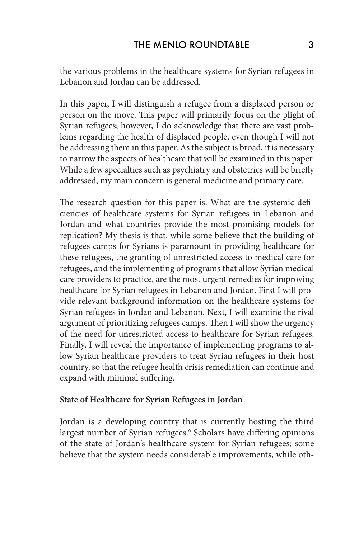the various problems in the healthcare systems for Syrian refugees in Lebanon and Jordan can be addressed.

In this paper, I will distinguish a refugee from a displaced person or person on the move. This paper will primarily focus on the plight of Syrian refugees; however, I do acknowledge that there are vast problems regarding the health of displaced people, even though I will not be addressing them in this paper. As the subject is broad, it is necessary to narrow the aspects of healthcare that will be examined in this paper. While a few specialties such as psychiatry and obstetrics will be briefly addressed, my main concern is general medicine and primary care.

The research question for this paper is: What are the systemic deficiencies of healthcare systems for Syrian refugees in Lebanon and Jordan and what countries provide the most promising models for replication? My thesis is that, while some believe that the building of refugees camps for Syrians is paramount in providing healthcare for these refugees, the granting of unrestricted access to medical care for refugees, and the implementing of programs that allow Syrian medical care providers to practice, are the most urgent remedies for improving healthcare for Syrian refugees in Lebanon and Jordan. First I will provide relevant background information on the healthcare systems for Syrian refugees in Jordan and Lebanon. Next, I will examine the rival argument of prioritizing refugees camps. Then I will show the urgency of the need for unrestricted access to healthcare for Syrian refugees. Finally, I will reveal the importance of implementing programs to allow Syrian healthcare providers to treat Syrian refugees in their host country, so that the refugee health crisis remediation can continue and expand with minimal suffering.

## **State of Healthcare for Syrian Refugees in Jordan**

Jordan is a developing country that is currently hosting the third largest number of Syrian refugees.<sup>6</sup> Scholars have differing opinions of the state of Jordan's healthcare system for Syrian refugees; some believe that the system needs considerable improvements, while oth-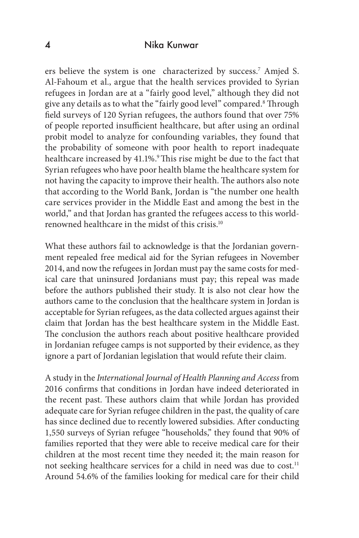ers believe the system is one characterized by success.7 Amjed S. Al-Fahoum et al., argue that the health services provided to Syrian refugees in Jordan are at a "fairly good level," although they did not give any details as to what the "fairly good level" compared.<sup>8</sup> Through field surveys of 120 Syrian refugees, the authors found that over 75% of people reported insufficient healthcare, but after using an ordinal probit model to analyze for confounding variables, they found that the probability of someone with poor health to report inadequate healthcare increased by 41.1%.<sup>9</sup> This rise might be due to the fact that Syrian refugees who have poor health blame the healthcare system for not having the capacity to improve their health. The authors also note that according to the World Bank, Jordan is "the number one health care services provider in the Middle East and among the best in the world," and that Jordan has granted the refugees access to this worldrenowned healthcare in the midst of this crisis.10

What these authors fail to acknowledge is that the Jordanian government repealed free medical aid for the Syrian refugees in November 2014, and now the refugees in Jordan must pay the same costs for medical care that uninsured Jordanians must pay; this repeal was made before the authors published their study. It is also not clear how the authors came to the conclusion that the healthcare system in Jordan is acceptable for Syrian refugees, as the data collected argues against their claim that Jordan has the best healthcare system in the Middle East. The conclusion the authors reach about positive healthcare provided in Jordanian refugee camps is not supported by their evidence, as they ignore a part of Jordanian legislation that would refute their claim.

A study in the *International Journal of Health Planning and Access* from 2016 confirms that conditions in Jordan have indeed deteriorated in the recent past. These authors claim that while Jordan has provided adequate care for Syrian refugee children in the past, the quality of care has since declined due to recently lowered subsidies. After conducting 1,550 surveys of Syrian refugee "households," they found that 90% of families reported that they were able to receive medical care for their children at the most recent time they needed it; the main reason for not seeking healthcare services for a child in need was due to cost.<sup>11</sup> Around 54.6% of the families looking for medical care for their child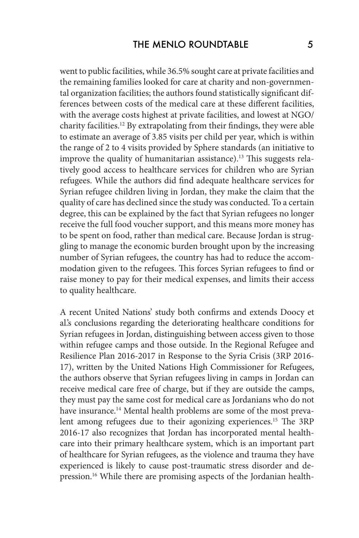went to public facilities, while 36.5% sought care at private facilities and the remaining families looked for care at charity and non-governmental organization facilities; the authors found statistically significant differences between costs of the medical care at these different facilities, with the average costs highest at private facilities, and lowest at NGO/ charity facilities.12 By extrapolating from their findings, they were able to estimate an average of 3.85 visits per child per year, which is within the range of 2 to 4 visits provided by Sphere standards (an initiative to improve the quality of humanitarian assistance).<sup>13</sup> This suggests relatively good access to healthcare services for children who are Syrian refugees. While the authors did find adequate healthcare services for Syrian refugee children living in Jordan, they make the claim that the quality of care has declined since the study was conducted. To a certain degree, this can be explained by the fact that Syrian refugees no longer receive the full food voucher support, and this means more money has to be spent on food, rather than medical care. Because Jordan is struggling to manage the economic burden brought upon by the increasing number of Syrian refugees, the country has had to reduce the accommodation given to the refugees. This forces Syrian refugees to find or raise money to pay for their medical expenses, and limits their access to quality healthcare.

A recent United Nations' study both confirms and extends Doocy et al.'s conclusions regarding the deteriorating healthcare conditions for Syrian refugees in Jordan, distinguishing between access given to those within refugee camps and those outside. In the Regional Refugee and Resilience Plan 2016-2017 in Response to the Syria Crisis (3RP 2016- 17), written by the United Nations High Commissioner for Refugees, the authors observe that Syrian refugees living in camps in Jordan can receive medical care free of charge, but if they are outside the camps, they must pay the same cost for medical care as Jordanians who do not have insurance.<sup>14</sup> Mental health problems are some of the most prevalent among refugees due to their agonizing experiences.<sup>15</sup> The 3RP 2016-17 also recognizes that Jordan has incorporated mental healthcare into their primary healthcare system, which is an important part of healthcare for Syrian refugees, as the violence and trauma they have experienced is likely to cause post-traumatic stress disorder and depression.<sup>16</sup> While there are promising aspects of the Jordanian health-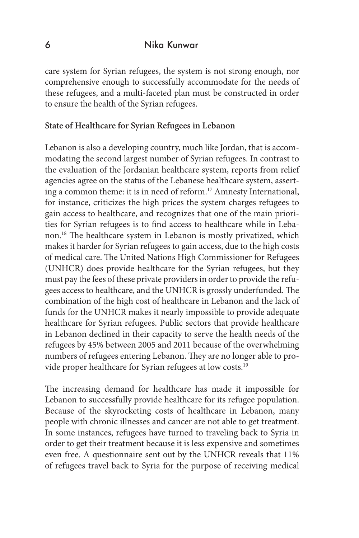care system for Syrian refugees, the system is not strong enough, nor comprehensive enough to successfully accommodate for the needs of these refugees, and a multi-faceted plan must be constructed in order to ensure the health of the Syrian refugees.

#### **State of Healthcare for Syrian Refugees in Lebanon**

Lebanon is also a developing country, much like Jordan, that is accommodating the second largest number of Syrian refugees. In contrast to the evaluation of the Jordanian healthcare system, reports from relief agencies agree on the status of the Lebanese healthcare system, asserting a common theme: it is in need of reform.<sup>17</sup> Amnesty International, for instance, criticizes the high prices the system charges refugees to gain access to healthcare, and recognizes that one of the main priorities for Syrian refugees is to find access to healthcare while in Lebanon.18 The healthcare system in Lebanon is mostly privatized, which makes it harder for Syrian refugees to gain access, due to the high costs of medical care. The United Nations High Commissioner for Refugees (UNHCR) does provide healthcare for the Syrian refugees, but they must pay the fees of these private providers in order to provide the refugees access to healthcare, and the UNHCR is grossly underfunded. The combination of the high cost of healthcare in Lebanon and the lack of funds for the UNHCR makes it nearly impossible to provide adequate healthcare for Syrian refugees. Public sectors that provide healthcare in Lebanon declined in their capacity to serve the health needs of the refugees by 45% between 2005 and 2011 because of the overwhelming numbers of refugees entering Lebanon. They are no longer able to provide proper healthcare for Syrian refugees at low costs.<sup>19</sup>

The increasing demand for healthcare has made it impossible for Lebanon to successfully provide healthcare for its refugee population. Because of the skyrocketing costs of healthcare in Lebanon, many people with chronic illnesses and cancer are not able to get treatment. In some instances, refugees have turned to traveling back to Syria in order to get their treatment because it is less expensive and sometimes even free. A questionnaire sent out by the UNHCR reveals that 11% of refugees travel back to Syria for the purpose of receiving medical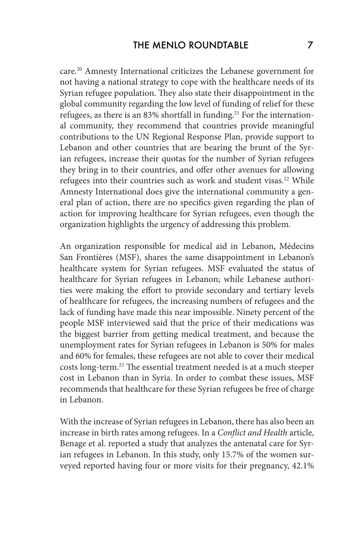care.20 Amnesty International criticizes the Lebanese government for not having a national strategy to cope with the healthcare needs of its Syrian refugee population. They also state their disappointment in the global community regarding the low level of funding of relief for these refugees, as there is an 83% shortfall in funding.<sup>21</sup> For the international community, they recommend that countries provide meaningful contributions to the UN Regional Response Plan, provide support to Lebanon and other countries that are bearing the brunt of the Syrian refugees, increase their quotas for the number of Syrian refugees they bring in to their countries, and offer other avenues for allowing refugees into their countries such as work and student visas.<sup>22</sup> While Amnesty International does give the international community a general plan of action, there are no specifics given regarding the plan of action for improving healthcare for Syrian refugees, even though the organization highlights the urgency of addressing this problem.

An organization responsible for medical aid in Lebanon, Médecins San Frontières (MSF), shares the same disappointment in Lebanon's healthcare system for Syrian refugees. MSF evaluated the status of healthcare for Syrian refugees in Lebanon; while Lebanese authorities were making the effort to provide secondary and tertiary levels of healthcare for refugees, the increasing numbers of refugees and the lack of funding have made this near impossible. Ninety percent of the people MSF interviewed said that the price of their medications was the biggest barrier from getting medical treatment, and because the unemployment rates for Syrian refugees in Lebanon is 50% for males and 60% for females, these refugees are not able to cover their medical costs long-term.23 The essential treatment needed is at a much steeper cost in Lebanon than in Syria. In order to combat these issues, MSF recommends that healthcare for these Syrian refugees be free of charge in Lebanon.

With the increase of Syrian refugees in Lebanon, there has also been an increase in birth rates among refugees. In a *Conflict and Health* article, Benage et al. reported a study that analyzes the antenatal care for Syrian refugees in Lebanon. In this study, only 15.7% of the women surveyed reported having four or more visits for their pregnancy, 42.1%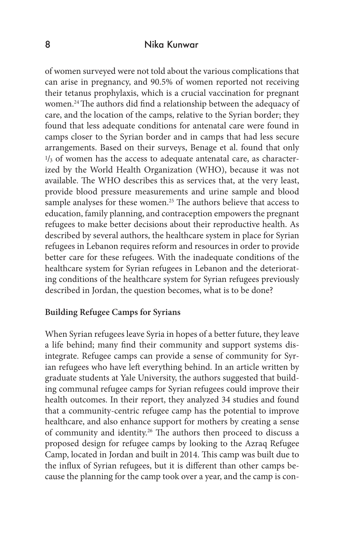of women surveyed were not told about the various complications that can arise in pregnancy, and 90.5% of women reported not receiving their tetanus prophylaxis, which is a crucial vaccination for pregnant women.24 The authors did find a relationship between the adequacy of care, and the location of the camps, relative to the Syrian border; they found that less adequate conditions for antenatal care were found in camps closer to the Syrian border and in camps that had less secure arrangements. Based on their surveys, Benage et al. found that only  $1/3$  of women has the access to adequate antenatal care, as characterized by the World Health Organization (WHO), because it was not available. The WHO describes this as services that, at the very least, provide blood pressure measurements and urine sample and blood sample analyses for these women.<sup>25</sup> The authors believe that access to education, family planning, and contraception empowers the pregnant refugees to make better decisions about their reproductive health. As described by several authors, the healthcare system in place for Syrian refugees in Lebanon requires reform and resources in order to provide better care for these refugees. With the inadequate conditions of the healthcare system for Syrian refugees in Lebanon and the deteriorating conditions of the healthcare system for Syrian refugees previously described in Jordan, the question becomes, what is to be done?

#### **Building Refugee Camps for Syrians**

When Syrian refugees leave Syria in hopes of a better future, they leave a life behind; many find their community and support systems disintegrate. Refugee camps can provide a sense of community for Syrian refugees who have left everything behind. In an article written by graduate students at Yale University, the authors suggested that building communal refugee camps for Syrian refugees could improve their health outcomes. In their report, they analyzed 34 studies and found that a community-centric refugee camp has the potential to improve healthcare, and also enhance support for mothers by creating a sense of community and identity.26 The authors then proceed to discuss a proposed design for refugee camps by looking to the Azraq Refugee Camp, located in Jordan and built in 2014. This camp was built due to the influx of Syrian refugees, but it is different than other camps because the planning for the camp took over a year, and the camp is con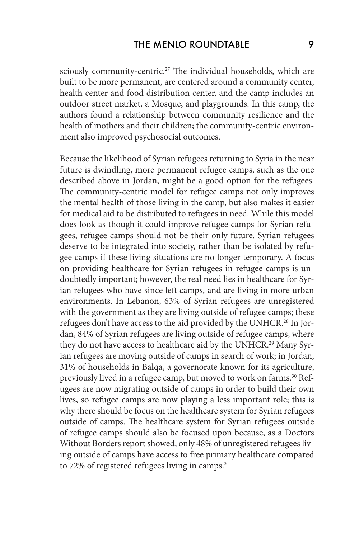sciously community-centric.<sup>27</sup> The individual households, which are built to be more permanent, are centered around a community center, health center and food distribution center, and the camp includes an outdoor street market, a Mosque, and playgrounds. In this camp, the authors found a relationship between community resilience and the health of mothers and their children; the community-centric environment also improved psychosocial outcomes.

Because the likelihood of Syrian refugees returning to Syria in the near future is dwindling, more permanent refugee camps, such as the one described above in Jordan, might be a good option for the refugees. The community-centric model for refugee camps not only improves the mental health of those living in the camp, but also makes it easier for medical aid to be distributed to refugees in need. While this model does look as though it could improve refugee camps for Syrian refugees, refugee camps should not be their only future. Syrian refugees deserve to be integrated into society, rather than be isolated by refugee camps if these living situations are no longer temporary. A focus on providing healthcare for Syrian refugees in refugee camps is undoubtedly important; however, the real need lies in healthcare for Syrian refugees who have since left camps, and are living in more urban environments. In Lebanon, 63% of Syrian refugees are unregistered with the government as they are living outside of refugee camps; these refugees don't have access to the aid provided by the UNHCR.<sup>28</sup> In Jordan, 84% of Syrian refugees are living outside of refugee camps, where they do not have access to healthcare aid by the UNHCR.<sup>29</sup> Many Syrian refugees are moving outside of camps in search of work; in Jordan, 31% of households in Balqa, a governorate known for its agriculture, previously lived in a refugee camp, but moved to work on farms.<sup>30</sup> Refugees are now migrating outside of camps in order to build their own lives, so refugee camps are now playing a less important role; this is why there should be focus on the healthcare system for Syrian refugees outside of camps. The healthcare system for Syrian refugees outside of refugee camps should also be focused upon because, as a Doctors Without Borders report showed, only 48% of unregistered refugees living outside of camps have access to free primary healthcare compared to 72% of registered refugees living in camps. $31$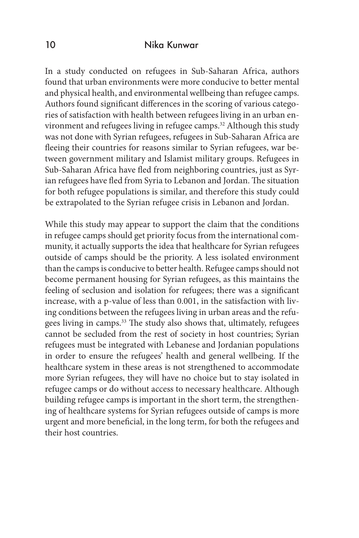In a study conducted on refugees in Sub-Saharan Africa, authors found that urban environments were more conducive to better mental and physical health, and environmental wellbeing than refugee camps. Authors found significant differences in the scoring of various categories of satisfaction with health between refugees living in an urban environment and refugees living in refugee camps.32 Although this study was not done with Syrian refugees, refugees in Sub-Saharan Africa are fleeing their countries for reasons similar to Syrian refugees, war between government military and Islamist military groups. Refugees in Sub-Saharan Africa have fled from neighboring countries, just as Syrian refugees have fled from Syria to Lebanon and Jordan. The situation for both refugee populations is similar, and therefore this study could be extrapolated to the Syrian refugee crisis in Lebanon and Jordan.

While this study may appear to support the claim that the conditions in refugee camps should get priority focus from the international community, it actually supports the idea that healthcare for Syrian refugees outside of camps should be the priority. A less isolated environment than the camps is conducive to better health. Refugee camps should not become permanent housing for Syrian refugees, as this maintains the feeling of seclusion and isolation for refugees; there was a significant increase, with a p-value of less than 0.001, in the satisfaction with living conditions between the refugees living in urban areas and the refugees living in camps.33 The study also shows that, ultimately, refugees cannot be secluded from the rest of society in host countries; Syrian refugees must be integrated with Lebanese and Jordanian populations in order to ensure the refugees' health and general wellbeing. If the healthcare system in these areas is not strengthened to accommodate more Syrian refugees, they will have no choice but to stay isolated in refugee camps or do without access to necessary healthcare. Although building refugee camps is important in the short term, the strengthening of healthcare systems for Syrian refugees outside of camps is more urgent and more beneficial, in the long term, for both the refugees and their host countries.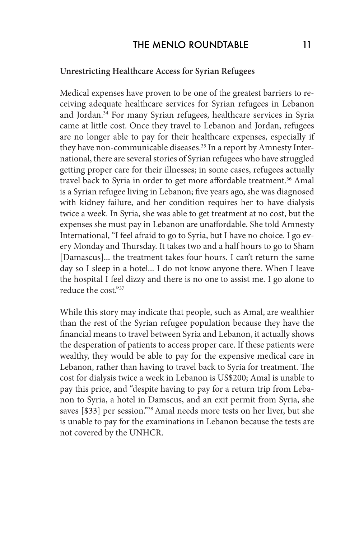#### **Unrestricting Healthcare Access for Syrian Refugees**

Medical expenses have proven to be one of the greatest barriers to receiving adequate healthcare services for Syrian refugees in Lebanon and Jordan.<sup>34</sup> For many Syrian refugees, healthcare services in Syria came at little cost. Once they travel to Lebanon and Jordan, refugees are no longer able to pay for their healthcare expenses, especially if they have non-communicable diseases.<sup>35</sup> In a report by Amnesty International, there are several stories of Syrian refugees who have struggled getting proper care for their illnesses; in some cases, refugees actually travel back to Syria in order to get more affordable treatment.<sup>36</sup> Amal is a Syrian refugee living in Lebanon; five years ago, she was diagnosed with kidney failure, and her condition requires her to have dialysis twice a week. In Syria, she was able to get treatment at no cost, but the expenses she must pay in Lebanon are unaffordable. She told Amnesty International, "I feel afraid to go to Syria, but I have no choice. I go every Monday and Thursday. It takes two and a half hours to go to Sham [Damascus]... the treatment takes four hours. I can't return the same day so I sleep in a hotel... I do not know anyone there. When I leave the hospital I feel dizzy and there is no one to assist me. I go alone to reduce the cost."37

While this story may indicate that people, such as Amal, are wealthier than the rest of the Syrian refugee population because they have the financial means to travel between Syria and Lebanon, it actually shows the desperation of patients to access proper care. If these patients were wealthy, they would be able to pay for the expensive medical care in Lebanon, rather than having to travel back to Syria for treatment. The cost for dialysis twice a week in Lebanon is US\$200; Amal is unable to pay this price, and "despite having to pay for a return trip from Lebanon to Syria, a hotel in Damscus, and an exit permit from Syria, she saves [\$33] per session."38 Amal needs more tests on her liver, but she is unable to pay for the examinations in Lebanon because the tests are not covered by the UNHCR.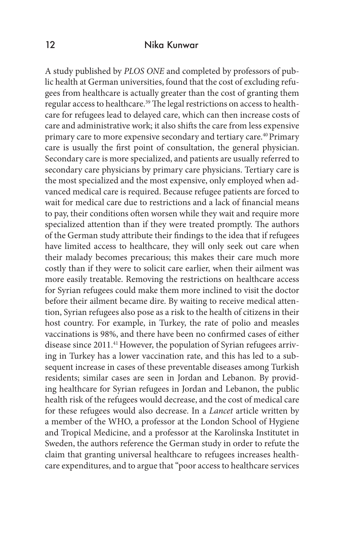A study published by *PLOS ONE* and completed by professors of public health at German universities, found that the cost of excluding refugees from healthcare is actually greater than the cost of granting them regular access to healthcare.<sup>39</sup> The legal restrictions on access to healthcare for refugees lead to delayed care, which can then increase costs of care and administrative work; it also shifts the care from less expensive primary care to more expensive secondary and tertiary care.<sup>40</sup> Primary care is usually the first point of consultation, the general physician. Secondary care is more specialized, and patients are usually referred to secondary care physicians by primary care physicians. Tertiary care is the most specialized and the most expensive, only employed when advanced medical care is required. Because refugee patients are forced to wait for medical care due to restrictions and a lack of financial means to pay, their conditions often worsen while they wait and require more specialized attention than if they were treated promptly. The authors of the German study attribute their findings to the idea that if refugees have limited access to healthcare, they will only seek out care when their malady becomes precarious; this makes their care much more costly than if they were to solicit care earlier, when their ailment was more easily treatable. Removing the restrictions on healthcare access for Syrian refugees could make them more inclined to visit the doctor before their ailment became dire. By waiting to receive medical attention, Syrian refugees also pose as a risk to the health of citizens in their host country. For example, in Turkey, the rate of polio and measles vaccinations is 98%, and there have been no confirmed cases of either disease since 2011.<sup>41</sup> However, the population of Syrian refugees arriving in Turkey has a lower vaccination rate, and this has led to a subsequent increase in cases of these preventable diseases among Turkish residents; similar cases are seen in Jordan and Lebanon. By providing healthcare for Syrian refugees in Jordan and Lebanon, the public health risk of the refugees would decrease, and the cost of medical care for these refugees would also decrease. In a *Lancet* article written by a member of the WHO, a professor at the London School of Hygiene and Tropical Medicine, and a professor at the Karolinska Institutet in Sweden, the authors reference the German study in order to refute the claim that granting universal healthcare to refugees increases healthcare expenditures, and to argue that "poor access to healthcare services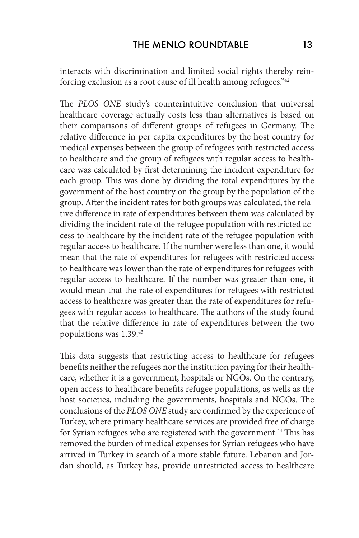interacts with discrimination and limited social rights thereby reinforcing exclusion as a root cause of ill health among refugees."42

The *PLOS ONE* study's counterintuitive conclusion that universal healthcare coverage actually costs less than alternatives is based on their comparisons of different groups of refugees in Germany. The relative difference in per capita expenditures by the host country for medical expenses between the group of refugees with restricted access to healthcare and the group of refugees with regular access to healthcare was calculated by first determining the incident expenditure for each group. This was done by dividing the total expenditures by the government of the host country on the group by the population of the group. After the incident rates for both groups was calculated, the relative difference in rate of expenditures between them was calculated by dividing the incident rate of the refugee population with restricted access to healthcare by the incident rate of the refugee population with regular access to healthcare. If the number were less than one, it would mean that the rate of expenditures for refugees with restricted access to healthcare was lower than the rate of expenditures for refugees with regular access to healthcare. If the number was greater than one, it would mean that the rate of expenditures for refugees with restricted access to healthcare was greater than the rate of expenditures for refugees with regular access to healthcare. The authors of the study found that the relative difference in rate of expenditures between the two populations was 1.39.43

This data suggests that restricting access to healthcare for refugees benefits neither the refugees nor the institution paying for their healthcare, whether it is a government, hospitals or NGOs. On the contrary, open access to healthcare benefits refugee populations, as wells as the host societies, including the governments, hospitals and NGOs. The conclusions of the *PLOS ONE* study are confirmed by the experience of Turkey, where primary healthcare services are provided free of charge for Syrian refugees who are registered with the government.<sup>44</sup> This has removed the burden of medical expenses for Syrian refugees who have arrived in Turkey in search of a more stable future. Lebanon and Jordan should, as Turkey has, provide unrestricted access to healthcare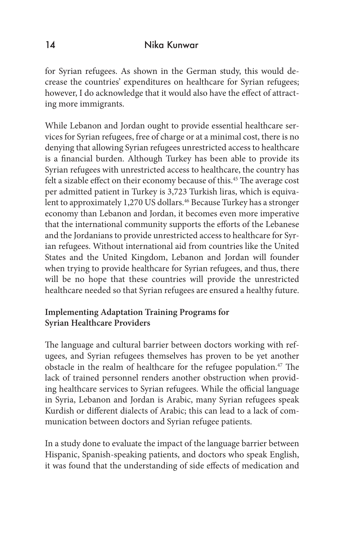for Syrian refugees. As shown in the German study, this would decrease the countries' expenditures on healthcare for Syrian refugees; however, I do acknowledge that it would also have the effect of attracting more immigrants.

While Lebanon and Jordan ought to provide essential healthcare services for Syrian refugees, free of charge or at a minimal cost, there is no denying that allowing Syrian refugees unrestricted access to healthcare is a financial burden. Although Turkey has been able to provide its Syrian refugees with unrestricted access to healthcare, the country has felt a sizable effect on their economy because of this.<sup>45</sup> The average cost per admitted patient in Turkey is 3,723 Turkish liras, which is equivalent to approximately 1,270 US dollars.<sup>46</sup> Because Turkey has a stronger economy than Lebanon and Jordan, it becomes even more imperative that the international community supports the efforts of the Lebanese and the Jordanians to provide unrestricted access to healthcare for Syrian refugees. Without international aid from countries like the United States and the United Kingdom, Lebanon and Jordan will founder when trying to provide healthcare for Syrian refugees, and thus, there will be no hope that these countries will provide the unrestricted healthcare needed so that Syrian refugees are ensured a healthy future.

## **Implementing Adaptation Training Programs for Syrian Healthcare Providers**

The language and cultural barrier between doctors working with refugees, and Syrian refugees themselves has proven to be yet another obstacle in the realm of healthcare for the refugee population.<sup>47</sup> The lack of trained personnel renders another obstruction when providing healthcare services to Syrian refugees. While the official language in Syria, Lebanon and Jordan is Arabic, many Syrian refugees speak Kurdish or different dialects of Arabic; this can lead to a lack of communication between doctors and Syrian refugee patients.

In a study done to evaluate the impact of the language barrier between Hispanic, Spanish-speaking patients, and doctors who speak English, it was found that the understanding of side effects of medication and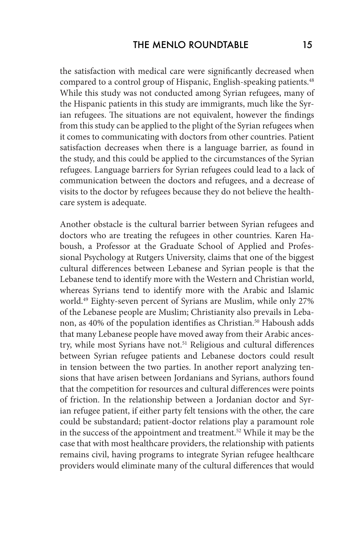the satisfaction with medical care were significantly decreased when compared to a control group of Hispanic, English-speaking patients.<sup>48</sup> While this study was not conducted among Syrian refugees, many of the Hispanic patients in this study are immigrants, much like the Syrian refugees. The situations are not equivalent, however the findings from this study can be applied to the plight of the Syrian refugees when it comes to communicating with doctors from other countries. Patient satisfaction decreases when there is a language barrier, as found in the study, and this could be applied to the circumstances of the Syrian refugees. Language barriers for Syrian refugees could lead to a lack of communication between the doctors and refugees, and a decrease of visits to the doctor by refugees because they do not believe the healthcare system is adequate.

Another obstacle is the cultural barrier between Syrian refugees and doctors who are treating the refugees in other countries. Karen Haboush, a Professor at the Graduate School of Applied and Professional Psychology at Rutgers University, claims that one of the biggest cultural differences between Lebanese and Syrian people is that the Lebanese tend to identify more with the Western and Christian world, whereas Syrians tend to identify more with the Arabic and Islamic world.49 Eighty-seven percent of Syrians are Muslim, while only 27% of the Lebanese people are Muslim; Christianity also prevails in Lebanon, as 40% of the population identifies as Christian.<sup>50</sup> Haboush adds that many Lebanese people have moved away from their Arabic ancestry, while most Syrians have not.<sup>51</sup> Religious and cultural differences between Syrian refugee patients and Lebanese doctors could result in tension between the two parties. In another report analyzing tensions that have arisen between Jordanians and Syrians, authors found that the competition for resources and cultural differences were points of friction. In the relationship between a Jordanian doctor and Syrian refugee patient, if either party felt tensions with the other, the care could be substandard; patient-doctor relations play a paramount role in the success of the appointment and treatment.<sup>52</sup> While it may be the case that with most healthcare providers, the relationship with patients remains civil, having programs to integrate Syrian refugee healthcare providers would eliminate many of the cultural differences that would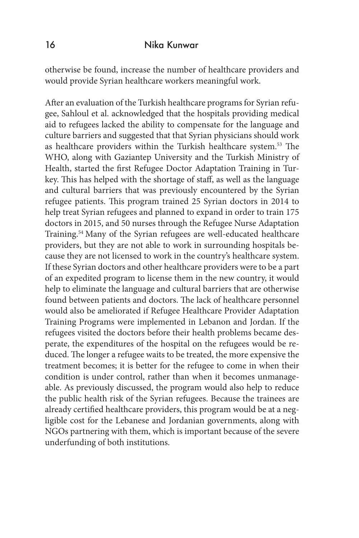otherwise be found, increase the number of healthcare providers and would provide Syrian healthcare workers meaningful work.

After an evaluation of the Turkish healthcare programs for Syrian refugee, Sahloul et al. acknowledged that the hospitals providing medical aid to refugees lacked the ability to compensate for the language and culture barriers and suggested that that Syrian physicians should work as healthcare providers within the Turkish healthcare system.53 The WHO, along with Gaziantep University and the Turkish Ministry of Health, started the first Refugee Doctor Adaptation Training in Turkey. This has helped with the shortage of staff, as well as the language and cultural barriers that was previously encountered by the Syrian refugee patients. This program trained 25 Syrian doctors in 2014 to help treat Syrian refugees and planned to expand in order to train 175 doctors in 2015, and 50 nurses through the Refugee Nurse Adaptation Training.54 Many of the Syrian refugees are well-educated healthcare providers, but they are not able to work in surrounding hospitals because they are not licensed to work in the country's healthcare system. If these Syrian doctors and other healthcare providers were to be a part of an expedited program to license them in the new country, it would help to eliminate the language and cultural barriers that are otherwise found between patients and doctors. The lack of healthcare personnel would also be ameliorated if Refugee Healthcare Provider Adaptation Training Programs were implemented in Lebanon and Jordan. If the refugees visited the doctors before their health problems became desperate, the expenditures of the hospital on the refugees would be reduced. The longer a refugee waits to be treated, the more expensive the treatment becomes; it is better for the refugee to come in when their condition is under control, rather than when it becomes unmanageable. As previously discussed, the program would also help to reduce the public health risk of the Syrian refugees. Because the trainees are already certified healthcare providers, this program would be at a negligible cost for the Lebanese and Jordanian governments, along with NGOs partnering with them, which is important because of the severe underfunding of both institutions.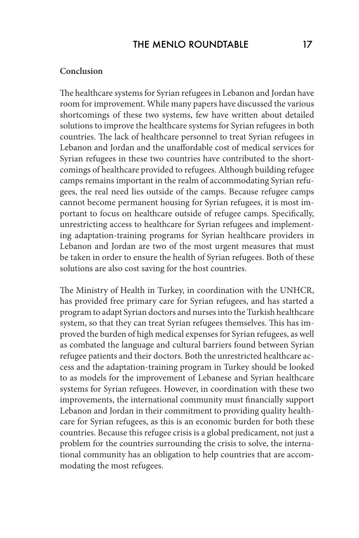#### **Conclusion**

The healthcare systems for Syrian refugees in Lebanon and Jordan have room for improvement. While many papers have discussed the various shortcomings of these two systems, few have written about detailed solutions to improve the healthcare systems for Syrian refugees in both countries. The lack of healthcare personnel to treat Syrian refugees in Lebanon and Jordan and the unaffordable cost of medical services for Syrian refugees in these two countries have contributed to the shortcomings of healthcare provided to refugees. Although building refugee camps remains important in the realm of accommodating Syrian refugees, the real need lies outside of the camps. Because refugee camps cannot become permanent housing for Syrian refugees, it is most important to focus on healthcare outside of refugee camps. Specifically, unrestricting access to healthcare for Syrian refugees and implementing adaptation-training programs for Syrian healthcare providers in Lebanon and Jordan are two of the most urgent measures that must be taken in order to ensure the health of Syrian refugees. Both of these solutions are also cost saving for the host countries.

The Ministry of Health in Turkey, in coordination with the UNHCR, has provided free primary care for Syrian refugees, and has started a program to adapt Syrian doctors and nurses into the Turkish healthcare system, so that they can treat Syrian refugees themselves. This has improved the burden of high medical expenses for Syrian refugees, as well as combated the language and cultural barriers found between Syrian refugee patients and their doctors. Both the unrestricted healthcare access and the adaptation-training program in Turkey should be looked to as models for the improvement of Lebanese and Syrian healthcare systems for Syrian refugees. However, in coordination with these two improvements, the international community must financially support Lebanon and Jordan in their commitment to providing quality healthcare for Syrian refugees, as this is an economic burden for both these countries. Because this refugee crisis is a global predicament, not just a problem for the countries surrounding the crisis to solve, the international community has an obligation to help countries that are accommodating the most refugees.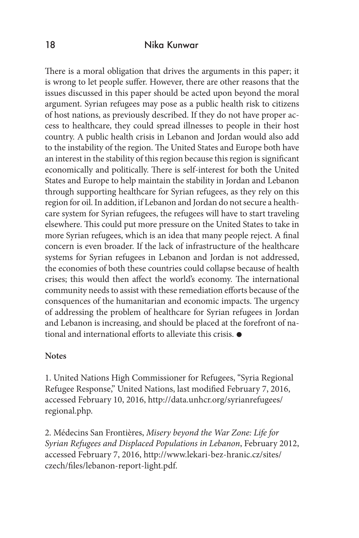There is a moral obligation that drives the arguments in this paper; it is wrong to let people suffer. However, there are other reasons that the issues discussed in this paper should be acted upon beyond the moral argument. Syrian refugees may pose as a public health risk to citizens of host nations, as previously described. If they do not have proper access to healthcare, they could spread illnesses to people in their host country. A public health crisis in Lebanon and Jordan would also add to the instability of the region. The United States and Europe both have an interest in the stability of this region because this region is significant economically and politically. There is self-interest for both the United States and Europe to help maintain the stability in Jordan and Lebanon through supporting healthcare for Syrian refugees, as they rely on this region for oil. In addition, if Lebanon and Jordan do not secure a healthcare system for Syrian refugees, the refugees will have to start traveling elsewhere. This could put more pressure on the United States to take in more Syrian refugees, which is an idea that many people reject. A final concern is even broader. If the lack of infrastructure of the healthcare systems for Syrian refugees in Lebanon and Jordan is not addressed, the economies of both these countries could collapse because of health crises; this would then affect the world's economy. The international community needs to assist with these remediation efforts because of the consquences of the humanitarian and economic impacts. The urgency of addressing the problem of healthcare for Syrian refugees in Jordan and Lebanon is increasing, and should be placed at the forefront of national and international efforts to alleviate this crisis.

#### **Notes**

1. United Nations High Commissioner for Refugees, "Syria Regional Refugee Response," United Nations, last modified February 7, 2016, accessed February 10, 2016, http://data.unhcr.org/syrianrefugees/ regional.php.

2. Médecins San Frontières, *Misery beyond the War Zone: Life for Syrian Refugees and Displaced Populations in Lebanon*, February 2012, accessed February 7, 2016, http://www.lekari-bez-hranic.cz/sites/ czech/files/lebanon-report-light.pdf.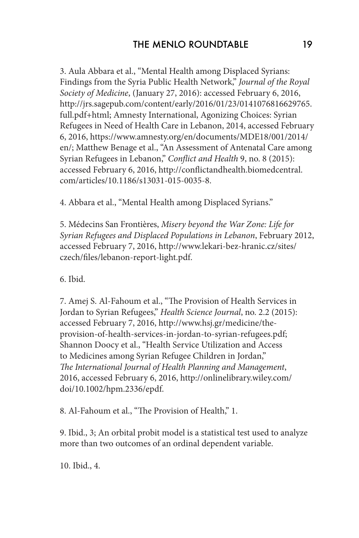3. Aula Abbara et al., "Mental Health among Displaced Syrians: Findings from the Syria Public Health Network," *Journal of the Royal Society of Medicine*, (January 27, 2016): accessed February 6, 2016, http://jrs.sagepub.com/content/early/2016/01/23/0141076816629765. full.pdf+html; Amnesty International, Agonizing Choices: Syrian Refugees in Need of Health Care in Lebanon, 2014, accessed February 6, 2016, https://www.amnesty.org/en/documents/MDE18/001/2014/ en/; Matthew Benage et al., "An Assessment of Antenatal Care among Syrian Refugees in Lebanon," *Conflict and Health* 9, no. 8 (2015): accessed February 6, 2016, http://conflictandhealth.biomedcentral. com/articles/10.1186/s13031-015-0035-8.

4. Abbara et al., "Mental Health among Displaced Syrians."

5. Médecins San Frontières, *Misery beyond the War Zone: Life for Syrian Refugees and Displaced Populations in Lebanon*, February 2012, accessed February 7, 2016, http://www.lekari-bez-hranic.cz/sites/ czech/files/lebanon-report-light.pdf.

6. Ibid.

7. Amej S. Al-Fahoum et al., "The Provision of Health Services in Jordan to Syrian Refugees," *Health Science Journal*, no. 2.2 (2015): accessed February 7, 2016, http://www.hsj.gr/medicine/theprovision-of-health-services-in-jordan-to-syrian-refugees.pdf; Shannon Doocy et al., "Health Service Utilization and Access to Medicines among Syrian Refugee Children in Jordan," *The International Journal of Health Planning and Management*, 2016, accessed February 6, 2016, http://onlinelibrary.wiley.com/ doi/10.1002/hpm.2336/epdf.

8. Al-Fahoum et al., "The Provision of Health," 1.

9. Ibid., 3; An orbital probit model is a statistical test used to analyze more than two outcomes of an ordinal dependent variable.

10. Ibid., 4.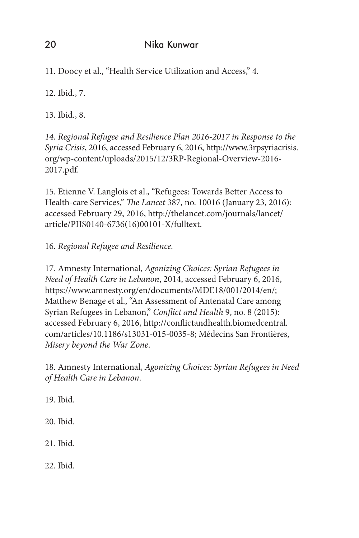11. Doocy et al., "Health Service Utilization and Access," 4.

12. Ibid., 7.

13. Ibid., 8.

*14. Regional Refugee and Resilience Plan 2016-2017 in Response to the Syria Crisis*, 2016, accessed February 6, 2016, http://www.3rpsyriacrisis. org/wp-content/uploads/2015/12/3RP-Regional-Overview-2016- 2017.pdf.

15. Etienne V. Langlois et al., "Refugees: Towards Better Access to Health-care Services," *The Lancet* 387, no. 10016 (January 23, 2016): accessed February 29, 2016, http://thelancet.com/journals/lancet/ article/PIIS0140-6736(16)00101-X/fulltext.

16. *Regional Refugee and Resilience.*

17. Amnesty International, *Agonizing Choices: Syrian Refugees in Need of Health Care in Lebanon*, 2014, accessed February 6, 2016, https://www.amnesty.org/en/documents/MDE18/001/2014/en/; Matthew Benage et al., "An Assessment of Antenatal Care among Syrian Refugees in Lebanon," *Conflict and Health* 9, no. 8 (2015): accessed February 6, 2016, http://conflictandhealth.biomedcentral. com/articles/10.1186/s13031-015-0035-8; Médecins San Frontières, *Misery beyond the War Zone*.

18. Amnesty International, *Agonizing Choices: Syrian Refugees in Need of Health Care in Lebanon*.

19. Ibid. 20. Ibid. 21. Ibid. 22. Ibid.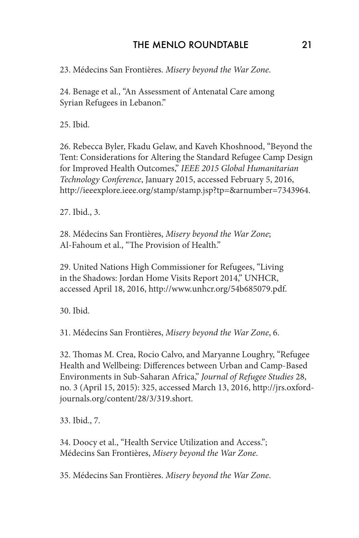## THE MENLO ROUNDTABLE 21

23. Médecins San Frontières. *Misery beyond the War Zone*.

24. Benage et al., "An Assessment of Antenatal Care among Syrian Refugees in Lebanon."

25. Ibid.

26. Rebecca Byler, Fkadu Gelaw, and Kaveh Khoshnood, "Beyond the Tent: Considerations for Altering the Standard Refugee Camp Design for Improved Health Outcomes," *IEEE 2015 Global Humanitarian Technology Conference*, January 2015, accessed February 5, 2016, http://ieeexplore.ieee.org/stamp/stamp.jsp?tp=&arnumber=7343964.

27. Ibid., 3.

28. Médecins San Frontières, *Misery beyond the War Zone*; Al-Fahoum et al., "The Provision of Health."

29. United Nations High Commissioner for Refugees, "Living in the Shadows: Jordan Home Visits Report 2014," UNHCR, accessed April 18, 2016, http://www.unhcr.org/54b685079.pdf.

30. Ibid.

31. Médecins San Frontières, *Misery beyond the War Zone*, 6.

32. Thomas M. Crea, Rocio Calvo, and Maryanne Loughry, "Refugee Health and Wellbeing: Differences between Urban and Camp-Based Environments in Sub-Saharan Africa," *Journal of Refugee Studies* 28, no. 3 (April 15, 2015): 325, accessed March 13, 2016, http://jrs.oxfordjournals.org/content/28/3/319.short.

33. Ibid., 7.

34. Doocy et al., "Health Service Utilization and Access."; Médecins San Frontières, *Misery beyond the War Zone*.

35. Médecins San Frontières. *Misery beyond the War Zone*.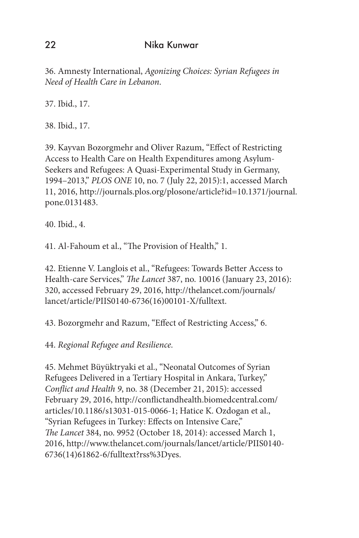36. Amnesty International, *Agonizing Choices: Syrian Refugees in Need of Health Care in Lebanon*.

37. Ibid., 17.

38. Ibid., 17.

39. Kayvan Bozorgmehr and Oliver Razum, "Effect of Restricting Access to Health Care on Health Expenditures among Asylum-Seekers and Refugees: A Quasi-Experimental Study in Germany, 1994–2013," *PLOS ONE* 10, no. 7 (July 22, 2015):1, accessed March 11, 2016, http://journals.plos.org/plosone/article?id=10.1371/journal. pone.0131483.

40. Ibid., 4.

41. Al-Fahoum et al., "The Provision of Health," 1.

42. Etienne V. Langlois et al., "Refugees: Towards Better Access to Health-care Services," *The Lancet* 387, no. 10016 (January 23, 2016): 320, accessed February 29, 2016, http://thelancet.com/journals/ lancet/article/PIIS0140-6736(16)00101-X/fulltext.

43. Bozorgmehr and Razum, "Effect of Restricting Access," 6.

44. *Regional Refugee and Resilience.*

45. Mehmet Büyüktryaki et al., "Neonatal Outcomes of Syrian Refugees Delivered in a Tertiary Hospital in Ankara, Turkey," *Conflict and Health 9*, no. 38 (December 21, 2015): accessed February 29, 2016, http://conflictandhealth.biomedcentral.com/ articles/10.1186/s13031-015-0066-1; Hatice K. Ozdogan et al., "Syrian Refugees in Turkey: Effects on Intensive Care," *The Lancet* 384, no. 9952 (October 18, 2014): accessed March 1, 2016, http://www.thelancet.com/journals/lancet/article/PIIS0140- 6736(14)61862-6/fulltext?rss%3Dyes.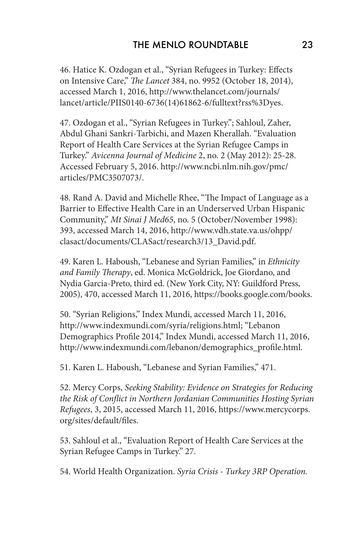46. Hatice K. Ozdogan et al., "Syrian Refugees in Turkey: Effects on Intensive Care," *The Lancet* 384, no. 9952 (October 18, 2014), accessed March 1, 2016, http://www.thelancet.com/journals/ lancet/article/PIIS0140-6736(14)61862-6/fulltext?rss%3Dyes.

47. Ozdogan et al., "Syrian Refugees in Turkey."; Sahloul, Zaher, Abdul Ghani Sankri-Tarbichi, and Mazen Kherallah. "Evaluation Report of Health Care Services at the Syrian Refugee Camps in Turkey." *Avicenna Journal of Medicine* 2, no. 2 (May 2012): 25-28. Accessed February 5, 2016. http://www.ncbi.nlm.nih.gov/pmc/ articles/PMC3507073/.

48. Rand A. David and Michelle Rhee, "The Impact of Language as a Barrier to Effective Health Care in an Underserved Urban Hispanic Community," *Mt Sinai J Med65*, no. 5 (October/November 1998): 393, accessed March 14, 2016, http://www.vdh.state.va.us/ohpp/ clasact/documents/CLASact/research3/13\_David.pdf.

49. Karen L. Haboush, "Lebanese and Syrian Families," in *Ethnicity and Family Therapy*, ed. Monica McGoldrick, Joe Giordano, and Nydia Garcia-Preto, third ed. (New York City, NY: Guildford Press, 2005), 470, accessed March 11, 2016, https://books.google.com/books.

50. "Syrian Religions," Index Mundi, accessed March 11, 2016, http://www.indexmundi.com/syria/religions.html; "Lebanon Demographics Profile 2014," Index Mundi, accessed March 11, 2016, http://www.indexmundi.com/lebanon/demographics\_profile.html.

51. Karen L. Haboush, "Lebanese and Syrian Families," 471.

52. Mercy Corps, *Seeking Stability: Evidence on Strategies for Reducing the Risk of Conflict in Northern Jordanian Communities Hosting Syrian Refugees*, 3, 2015, accessed March 11, 2016, https://www.mercycorps. org/sites/default/files.

53. Sahloul et al., "Evaluation Report of Health Care Services at the Syrian Refugee Camps in Turkey." 27.

54. World Health Organization. *Syria Crisis - Turkey 3RP Operation.*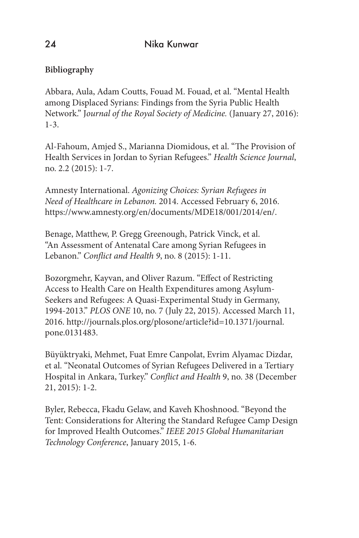## **Bibliography**

Abbara, Aula, Adam Coutts, Fouad M. Fouad, et al. "Mental Health among Displaced Syrians: Findings from the Syria Public Health Network." J*ournal of the Royal Society of Medicine.* (January 27, 2016): 1-3.

Al-Fahoum, Amjed S., Marianna Diomidous, et al. "The Provision of Health Services in Jordan to Syrian Refugees." *Health Science Journal*, no. 2.2 (2015): 1-7.

Amnesty International. *Agonizing Choices: Syrian Refugees in Need of Healthcare in Lebanon.* 2014. Accessed February 6, 2016. https://www.amnesty.org/en/documents/MDE18/001/2014/en/.

Benage, Matthew, P. Gregg Greenough, Patrick Vinck, et al. "An Assessment of Antenatal Care among Syrian Refugees in Lebanon." *Conflict and Health 9*, no. 8 (2015): 1-11.

Bozorgmehr, Kayvan, and Oliver Razum. "Effect of Restricting Access to Health Care on Health Expenditures among Asylum-Seekers and Refugees: A Quasi-Experimental Study in Germany, 1994-2013." *PLOS ONE* 10, no. 7 (July 22, 2015). Accessed March 11, 2016. http://journals.plos.org/plosone/article?id=10.1371/journal. pone.0131483.

Büyüktryaki, Mehmet, Fuat Emre Canpolat, Evrim Alyamac Dizdar, et al. "Neonatal Outcomes of Syrian Refugees Delivered in a Tertiary Hospital in Ankara, Turkey." *Conflict and Health* 9, no. 38 (December 21, 2015): 1-2.

Byler, Rebecca, Fkadu Gelaw, and Kaveh Khoshnood. "Beyond the Tent: Considerations for Altering the Standard Refugee Camp Design for Improved Health Outcomes." *IEEE 2015 Global Humanitarian Technology Conference*, January 2015, 1-6.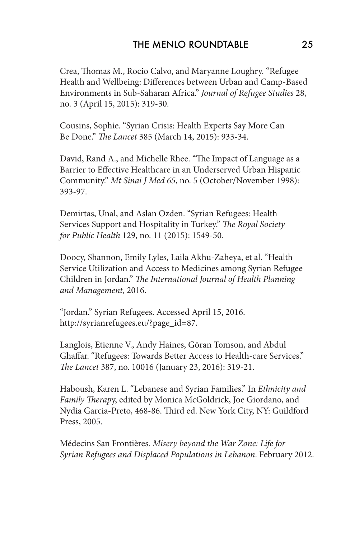Crea, Thomas M., Rocio Calvo, and Maryanne Loughry. "Refugee Health and Wellbeing: Differences between Urban and Camp-Based Environments in Sub-Saharan Africa." *Journal of Refugee Studies* 28, no. 3 (April 15, 2015): 319-30.

Cousins, Sophie. "Syrian Crisis: Health Experts Say More Can Be Done." *The Lancet* 385 (March 14, 2015): 933-34.

David, Rand A., and Michelle Rhee. "The Impact of Language as a Barrier to Effective Healthcare in an Underserved Urban Hispanic Community." *Mt Sinai J Med 65*, no. 5 (October/November 1998): 393-97.

Demirtas, Unal, and Aslan Ozden. "Syrian Refugees: Health Services Support and Hospitality in Turkey." *The Royal Society for Public Health* 129, no. 11 (2015): 1549-50.

Doocy, Shannon, Emily Lyles, Laila Akhu-Zaheya, et al. "Health Service Utilization and Access to Medicines among Syrian Refugee Children in Jordan." *The International Journal of Health Planning and Management*, 2016.

"Jordan." Syrian Refugees. Accessed April 15, 2016. http://syrianrefugees.eu/?page\_id=87.

Langlois, Etienne V., Andy Haines, Göran Tomson, and Abdul Ghaffar. "Refugees: Towards Better Access to Health-care Services." *The Lancet* 387, no. 10016 (January 23, 2016): 319-21.

Haboush, Karen L. "Lebanese and Syrian Families." In *Ethnicity and Family Therap*y, edited by Monica McGoldrick, Joe Giordano, and Nydia Garcia-Preto, 468-86. Third ed. New York City, NY: Guildford Press, 2005.

Médecins San Frontières. *Misery beyond the War Zone: Life for Syrian Refugees and Displaced Populations in Lebanon*. February 2012.